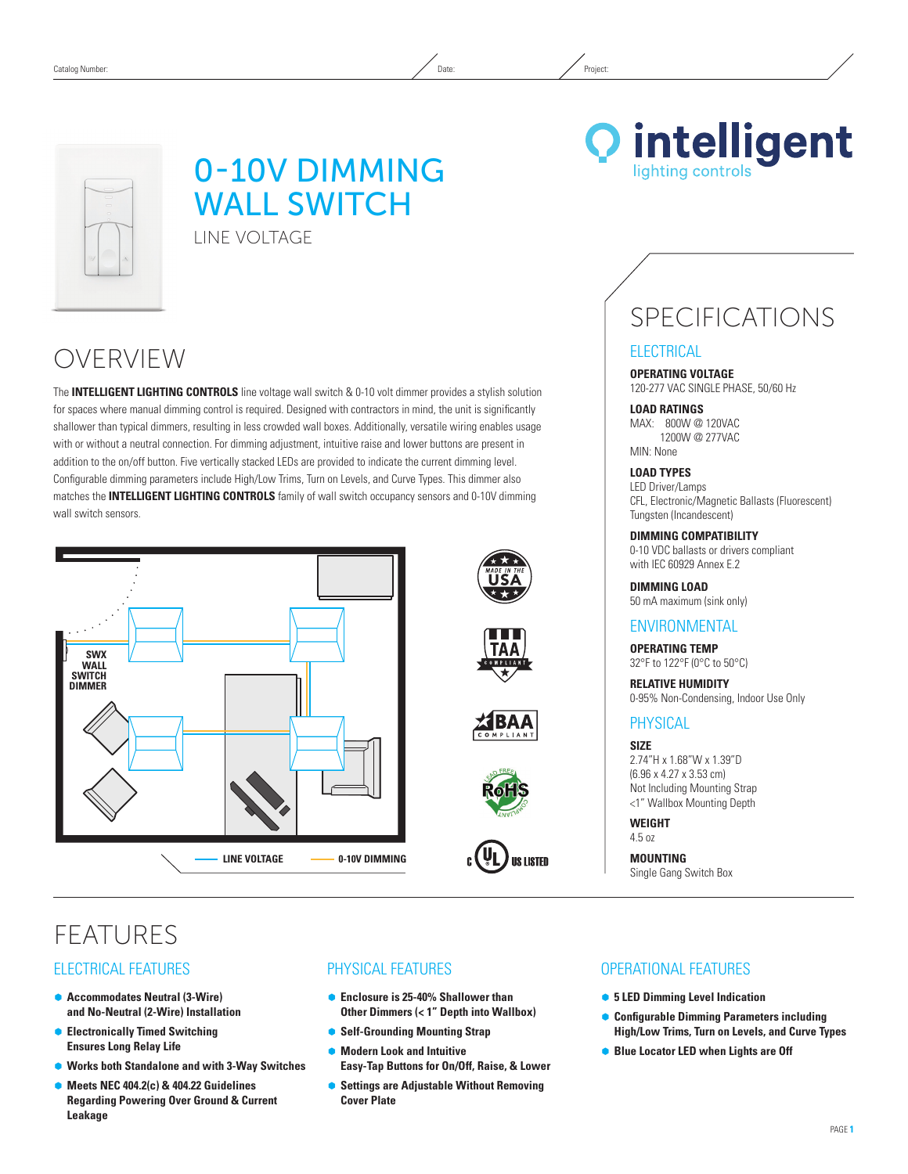

## 0-10V Dimming **WALL SWITCH** Line Voltage

OVERVIEW

The **INTELLIGENT LIGHTING CONTROLS** line voltage wall switch & 0-10 volt dimmer provides a stylish solution for spaces where manual dimming control is required. Designed with contractors in mind, the unit is significantly shallower than typical dimmers, resulting in less crowded wall boxes. Additionally, versatile wiring enables usage with or without a neutral connection. For dimming adjustment, intuitive raise and lower buttons are present in addition to the on/off button. Five vertically stacked LEDs are provided to indicate the current dimming level. Configurable dimming parameters include High/Low Trims, Turn on Levels, and Curve Types. This dimmer also matches the **INTELLIGENT LIGHTING CONTROLS** family of wall switch occupancy sensors and 0-10V dimming wall switch sensors.











**Q** intelligent lighting controls

# SPECIFICATIONS

#### **ELECTRICAL**

**Operating Voltage** 120-277 VAC SINGLE PHASE, 50/60 Hz

**Load ratings** MAX: 800W @ 120VAC 1200W @ 277VAC MIN: None

**Load Types** LED Driver/Lamps CFL, Electronic/Magnetic Ballasts (Fluorescent) Tungsten (Incandescent)

**DIMMING Compatibility** 0-10 VDC ballasts or drivers compliant with IEC 60929 Annex E.2

**DIMMING LOAD** 50 mA maximum (sink only)

#### **ENVIRONMENTAL**

**Operating Temp** 32°F to 122°F (0°C to 50°C)

**Relative Humidity** 0-95% Non-Condensing, Indoor Use Only

## **PHYSICAL**

**Size** 2.74"H x 1.68"W x 1.39"D (6.96 x 4.27 x 3.53 cm) Not Including Mounting Strap <1" Wallbox Mounting Depth

**Weight** 4.5 oz

**Mounting** Single Gang Switch Box

## **FFATURES**

## Electrical Features

- **Accommodates Neutral (3-Wire) and No-Neutral (2-Wire) Installation**
- **Electronically Timed Switching Ensures Long Relay Life**
- Ã **Works both Standalone and with 3-Way Switches**
- Ã **Meets NEC 404.2(c) & 404.22 Guidelines Regarding Powering Over Ground & Current Leakage**

## Physical Features

- **Enclosure is 25-40% Shallower than Other Dimmers (< 1" Depth into Wallbox)**
- **Self-Grounding Mounting Strap**
- Ã **Modern Look and Intuitive Easy-Tap Buttons for On/Off, Raise, & Lower**
- **Settings are Adjustable Without Removing Cover Plate**

#### OPERATIONAL Features

- **5 LED Dimming Level Indication**
- Ã **Configurable Dimming Parameters including High/Low Trims, Turn on Levels, and Curve Types**
- **Blue Locator LED when Lights are Off**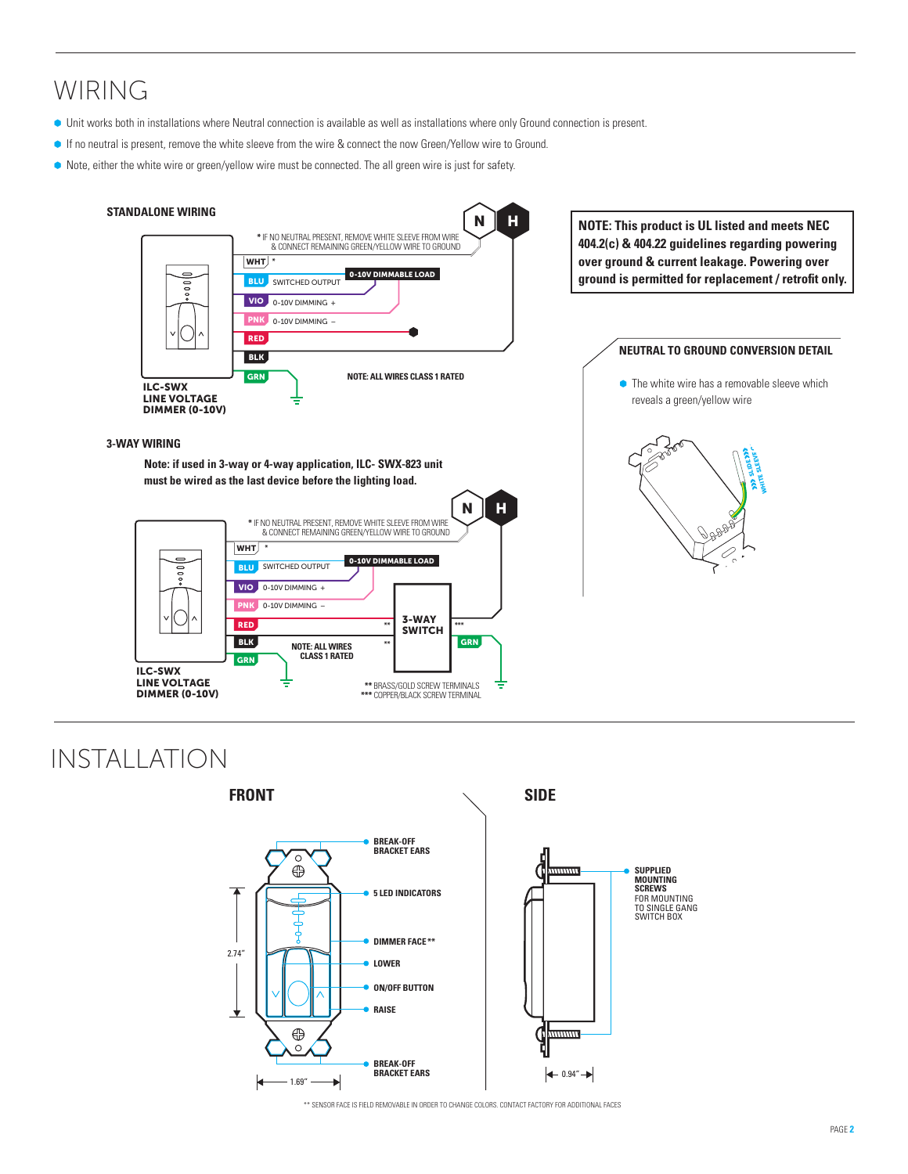## WIRING

- Ã Unit works both in installations where Neutral connection is available as well as installations where only Ground connection is present.
- **If no neutral is present, remove the white sleeve from the wire & connect the now Green/Yellow wire to Ground.**
- $\bullet$  Note, either the white wire or green/yellow wire must be connected. The all green wire is just for safety.



## Installation